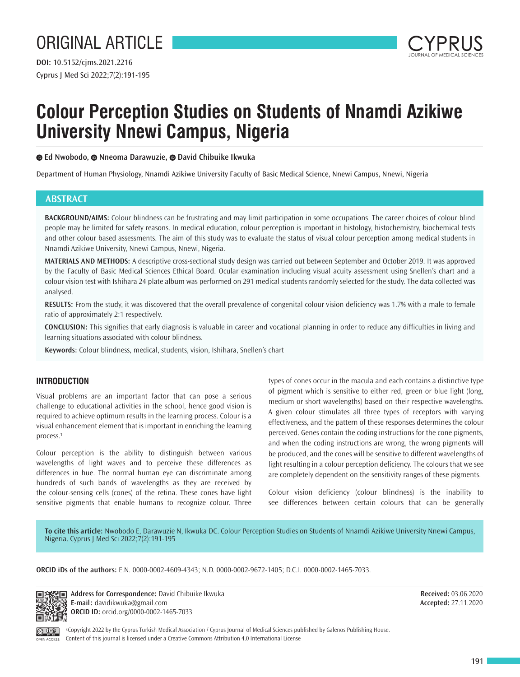

# **Colour Perception Studies on Students of Nnamdi Azikiwe University Nnewi Campus, Nigeria**

**Ed Nwobodo,Nneoma Darawuzie,David Chibuike Ikwuka**

Department of Human Physiology, Nnamdi Azikiwe University Faculty of Basic Medical Science, Nnewi Campus, Nnewi, Nigeria

# **ABSTRACT**

**BACKGROUND/AIMS:** Colour blindness can be frustrating and may limit participation in some occupations. The career choices of colour blind people may be limited for safety reasons. In medical education, colour perception is important in histology, histochemistry, biochemical tests and other colour based assessments. The aim of this study was to evaluate the status of visual colour perception among medical students in Nnamdi Azikiwe University, Nnewi Campus, Nnewi, Nigeria.

**MATERIALS AND METHODS:** A descriptive cross-sectional study design was carried out between September and October 2019. It was approved by the Faculty of Basic Medical Sciences Ethical Board. Ocular examination including visual acuity assessment using Snellen's chart and a colour vision test with Ishihara 24 plate album was performed on 291 medical students randomly selected for the study. The data collected was analysed.

**RESULTS:** From the study, it was discovered that the overall prevalence of congenital colour vision deficiency was 1.7% with a male to female ratio of approximately 2:1 respectively.

**CONCLUSION:** This signifies that early diagnosis is valuable in career and vocational planning in order to reduce any difficulties in living and learning situations associated with colour blindness.

**Keywords:** Colour blindness, medical, students, vision, Ishihara, Snellen's chart

# **INTRODUCTION**

Visual problems are an important factor that can pose a serious challenge to educational activities in the school, hence good vision is required to achieve optimum results in the learning process. Colour is a visual enhancement element that is important in enriching the learning process.<sup>1</sup>

Colour perception is the ability to distinguish between various wavelengths of light waves and to perceive these differences as differences in hue. The normal human eye can discriminate among hundreds of such bands of wavelengths as they are received by the colour-sensing cells (cones) of the retina. These cones have light sensitive pigments that enable humans to recognize colour. Three

types of cones occur in the macula and each contains a distinctive type of pigment which is sensitive to either red, green or blue light (long, medium or short wavelengths) based on their respective wavelengths. A given colour stimulates all three types of receptors with varying effectiveness, and the pattern of these responses determines the colour perceived. Genes contain the coding instructions for the cone pigments, and when the coding instructions are wrong, the wrong pigments will be produced, and the cones will be sensitive to different wavelengths of light resulting in a colour perception deficiency. The colours that we see are completely dependent on the sensitivity ranges of these pigments.

Colour vision deficiency (colour blindness) is the inability to see differences between certain colours that can be generally

**To cite this article:** Nwobodo E, Darawuzie N, Ikwuka DC. Colour Perception Studies on Students of Nnamdi Azikiwe University Nnewi Campus, Nigeria. Cyprus J Med Sci 2022;7(2):191-195

**ORCID iDs of the authors:** E.N. 0000-0002-4609-4343; N.D. 0000-0002-9672-1405; D.C.I. 0000-0002-1465-7033.



**Address for Correspondence:** David Chibuike Ikwuka **E-mail:** davidikwuka@gmail.com **ORCID ID:** orcid.org/0000-0002-1465-7033

**Received:** 03.06.2020 **Accepted:** 27.11.2020

©Copyright 2022 by the Cyprus Turkish Medical Association / Cyprus Journal of Medical Sciences published by Galenos Publishing House. Content of this journal is licensed under a Creative Commons Attribution 4.0 International License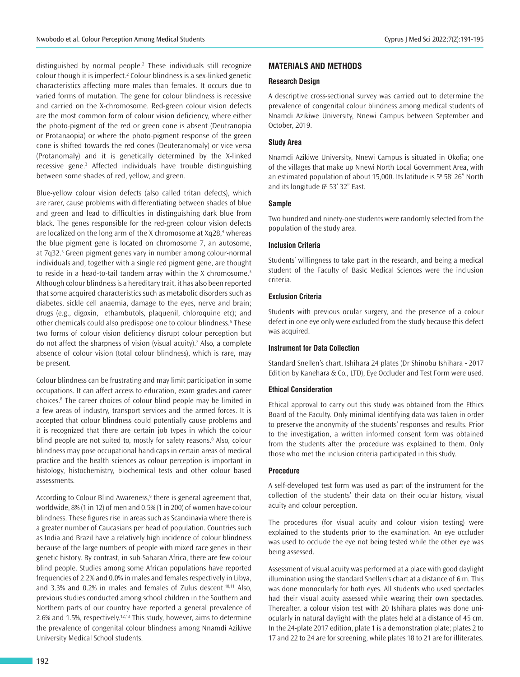distinguished by normal people.<sup>2</sup> These individuals still recognize colour though it is imperfect.<sup>2</sup> Colour blindness is a sex-linked genetic characteristics affecting more males than females. It occurs due to varied forms of mutation. The gene for colour blindness is recessive and carried on the X-chromosome. Red-green colour vision defects are the most common form of colour vision deficiency, where either the photo-pigment of the red or green cone is absent (Deutranopia or Protanaopia) or where the photo-pigment response of the green cone is shifted towards the red cones (Deuteranomaly) or vice versa (Protanomaly) and it is genetically determined by the X-linked recessive gene.<sup>3</sup> Affected individuals have trouble distinguishing between some shades of red, yellow, and green.

Blue-yellow colour vision defects (also called tritan defects), which are rarer, cause problems with differentiating between shades of blue and green and lead to difficulties in distinguishing dark blue from black. The genes responsible for the red-green colour vision defects are localized on the long arm of the X chromosome at Xq28,<sup>4</sup> whereas the blue pigment gene is located on chromosome 7, an autosome, at 7q32.<sup>5</sup> Green pigment genes vary in number among colour-normal individuals and, together with a single red pigment gene, are thought to reside in a head-to-tail tandem array within the X chromosome. $3$ Although colour blindness is a hereditary trait, it has also been reported that some acquired characteristics such as metabolic disorders such as diabetes, sickle cell anaemia, damage to the eyes, nerve and brain; drugs (e.g., digoxin, ethambutols, plaquenil, chloroquine etc); and other chemicals could also predispose one to colour blindness.<sup>6</sup> These two forms of colour vision deficiency disrupt colour perception but do not affect the sharpness of vision (visual acuity).<sup>7</sup> Also, a complete absence of colour vision (total colour blindness), which is rare, may be present.

Colour blindness can be frustrating and may limit participation in some occupations. It can affect access to education, exam grades and career choices.<sup>8</sup> The career choices of colour blind people may be limited in a few areas of industry, transport services and the armed forces. It is accepted that colour blindness could potentially cause problems and it is recognized that there are certain job types in which the colour blind people are not suited to, mostly for safety reasons.<sup>8</sup> Also, colour blindness may pose occupational handicaps in certain areas of medical practice and the health sciences as colour perception is important in histology, histochemistry, biochemical tests and other colour based assessments.

According to Colour Blind Awareness,<sup>9</sup> there is general agreement that, worldwide, 8% (1 in 12) of men and 0.5% (1 in 200) of women have colour blindness. These figures rise in areas such as Scandinavia where there is a greater number of Caucasians per head of population. Countries such as India and Brazil have a relatively high incidence of colour blindness because of the large numbers of people with mixed race genes in their genetic history. By contrast, in sub-Saharan Africa, there are few colour blind people. Studies among some African populations have reported frequencies of 2.2% and 0.0% in males and females respectively in Libya, and 3.3% and 0.2% in males and females of Zulus descent.10,11 Also, previous studies conducted among school children in the Southern and Northern parts of our country have reported a general prevalence of 2.6% and 1.5%, respectively.<sup>12,13</sup> This study, however, aims to determine the prevalence of congenital colour blindness among Nnamdi Azikiwe University Medical School students.

## **MATERIALS AND METHODS**

## **Research Design**

A descriptive cross-sectional survey was carried out to determine the prevalence of congenital colour blindness among medical students of Nnamdi Azikiwe University, Nnewi Campus between September and October, 2019.

## **Study Area**

Nnamdi Azikiwe University, Nnewi Campus is situated in Okofia; one of the villages that make up Nnewi North Local Government Area, with an estimated population of about 15,000. Its latitude is  $5^{\circ}$  58' 26" North and its longitude  $6^{\circ}$  53' 32" East.

## **Sample**

Two hundred and ninety-one students were randomly selected from the population of the study area.

## **Inclusion Criteria**

Students' willingness to take part in the research, and being a medical student of the Faculty of Basic Medical Sciences were the inclusion criteria.

#### **Exclusion Criteria**

Students with previous ocular surgery, and the presence of a colour defect in one eye only were excluded from the study because this defect was acquired.

#### **Instrument for Data Collection**

Standard Snellen's chart, Ishihara 24 plates (Dr Shinobu Ishihara - 2017 Edition by Kanehara & Co., LTD), Eye Occluder and Test Form were used.

#### **Ethical Consideration**

Ethical approval to carry out this study was obtained from the Ethics Board of the Faculty. Only minimal identifying data was taken in order to preserve the anonymity of the students' responses and results. Prior to the investigation, a written informed consent form was obtained from the students after the procedure was explained to them. Only those who met the inclusion criteria participated in this study.

#### **Procedure**

A self-developed test form was used as part of the instrument for the collection of the students' their data on their ocular history, visual acuity and colour perception.

The procedures (for visual acuity and colour vision testing) were explained to the students prior to the examination. An eye occluder was used to occlude the eye not being tested while the other eye was being assessed.

Assessment of visual acuity was performed at a place with good daylight illumination using the standard Snellen's chart at a distance of 6 m. This was done monocularly for both eyes. All students who used spectacles had their visual acuity assessed while wearing their own spectacles. Thereafter, a colour vision test with 20 Ishihara plates was done uniocularly in natural daylight with the plates held at a distance of 45 cm. In the 24-plate 2017 edition, plate 1 is a demonstration plate; plates 2 to 17 and 22 to 24 are for screening, while plates 18 to 21 are for illiterates.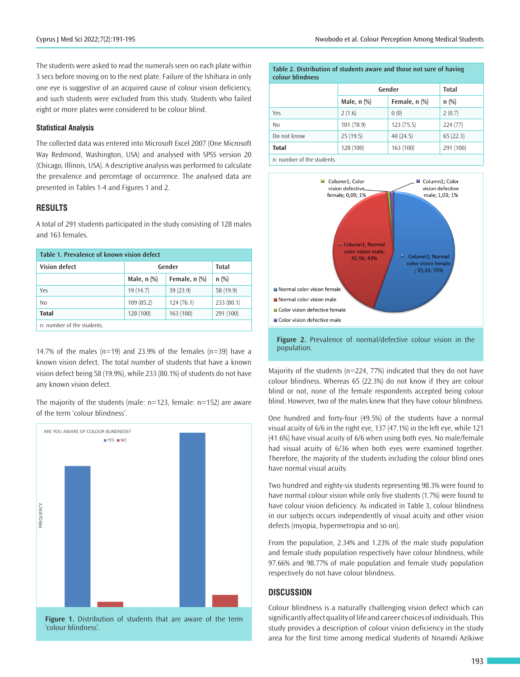The students were asked to read the numerals seen on each plate within 3 secs before moving on to the next plate. Failure of the Ishihara in only one eye is suggestive of an acquired cause of colour vision deficiency, and such students were excluded from this study. Students who failed eight or more plates were considered to be colour blind.

## **Statistical Analysis**

The collected data was entered into Microsoft Excel 2007 (One Microsoft Way Redmond, Washington, USA) and analysed with SPSS version 20 (Chicago, Illinois, USA). A descriptive analysis was performed to calculate the prevalence and percentage of occurrence. The analysed data are presented in Tables 1-4 and Figures 1 and 2.

## **RESULTS**

A total of 291 students participated in the study consisting of 128 males and 163 females.

| Table 1. Prevalence of known vision defect |               |               |           |  |  |
|--------------------------------------------|---------------|---------------|-----------|--|--|
| <b>Vision defect</b>                       | Gender        | <b>Total</b>  |           |  |  |
|                                            | Male, $n$ $%$ | Female, n (%) | $n$ (%)   |  |  |
| Yes                                        | 19(14.7)      | 39(23.9)      | 58 (19.9) |  |  |
| No                                         | 109(85.2)     | 124(76.1)     | 233(80.1) |  |  |
| <b>Total</b>                               | 128 (100)     | 163 (100)     | 291 (100) |  |  |
| n: number of the students.                 |               |               |           |  |  |

14.7% of the males ( $n=19$ ) and 23.9% of the females ( $n=39$ ) have a known vision defect. The total number of students that have a known vision defect being 58 (19.9%), while 233 (80.1%) of students do not have any known vision defect.

The majority of the students (male: n=123, female: n=152) are aware of the term 'colour blindness'.



**Figure 1.** Distribution of students that are aware of the term 'colour blindness'.

| Table 2. Distribution of students aware and those not sure of having<br>colour blindness |               |                 |           |  |
|------------------------------------------------------------------------------------------|---------------|-----------------|-----------|--|
|                                                                                          | Gender        | <b>Total</b>    |           |  |
|                                                                                          | Male, $n$ $%$ | Female, $n$ $%$ | $n$ (%)   |  |
| Yes                                                                                      | 2(1.6)        | 0(0)            | 2(0.7)    |  |
| N <sub>0</sub>                                                                           | 101 (78.9)    | 123(75.5)       | 224(77)   |  |
| Do not know                                                                              | 25(19.5)      | 40(24.5)        | 65(22.3)  |  |
| <b>Total</b>                                                                             | 128 (100)     | 163(100)        | 291 (100) |  |
| n: number of the students.                                                               |               |                 |           |  |

Column1: Color Column1: Color vision defective vision defective female: 0.69: 1% male:  $1.03 \cdot 1\%$ Column1: Normal color vision male: Column1; Normal  $4296 \cdot 43\%$ color vision female ; 55,33; 55% Normal color vision female Normal color vision male ■ Color vision defective female Olor vision defective male

**Figure 2.** Prevalence of normal/defective colour vision in the population.

Majority of the students (n=224, 77%) indicated that they do not have colour blindness. Whereas 65 (22.3%) do not know if they are colour blind or not, none of the female respondents accepted being colour blind. However, two of the males knew that they have colour blindness.

One hundred and forty-four (49.5%) of the students have a normal visual acuity of 6/6 in the right eye, 137 (47.1%) in the left eye, while 121 (41.6%) have visual acuity of 6/6 when using both eyes. No male/female had visual acuity of 6/36 when both eyes were examined together. Therefore, the majority of the students including the colour blind ones have normal visual acuity.

Two hundred and eighty-six students representing 98.3% were found to have normal colour vision while only five students (1.7%) were found to have colour vision deficiency. As indicated in Table 3, colour blindness in our subjects occurs independently of visual acuity and other vision defects (myopia, hypermetropia and so on).

From the population, 2.34% and 1.23% of the male study population and female study population respectively have colour blindness, while 97.66% and 98.77% of male population and female study population respectively do not have colour blindness.

## **DISCUSSION**

Colour blindness is a naturally challenging vision defect which can significantly affect quality of life and career choices of individuals. This study provides a description of colour vision deficiency in the study area for the first time among medical students of Nnamdi Azikiwe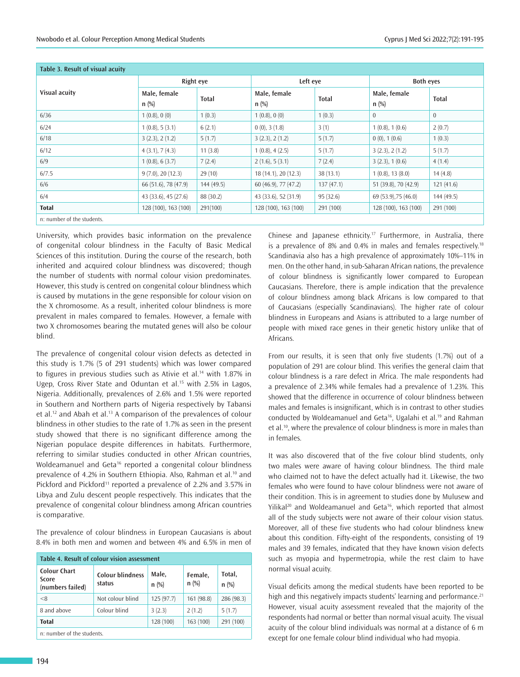| Table 3. Result of visual acuity |                         |              |                         |              |                         |                |
|----------------------------------|-------------------------|--------------|-------------------------|--------------|-------------------------|----------------|
| Visual acuity                    | Right eye               |              | Left eve                |              | <b>Both eyes</b>        |                |
|                                  | Male, female<br>$n$ (%) | <b>Total</b> | Male, female<br>$n$ (%) | <b>Total</b> | Male, female<br>$n$ (%) | <b>Total</b>   |
| 6/36                             | 1(0.8), 0(0)            | 1(0.3)       | 1(0.8), 0(0)            | 1(0.3)       | $\mathbf{0}$            | $\overline{0}$ |
| 6/24                             | 1(0.8), 5(3.1)          | 6(2.1)       | $0(0)$ , 3 $(1.8)$      | 3(1)         | 1(0.8), 1(0.6)          | 2(0.7)         |
| 6/18                             | 3(2.3), 2(1.2)          | 5(1.7)       | 3(2.3), 2(1.2)          | 5(1.7)       | $0(0)$ , 1 $(0.6)$      | 1(0.3)         |
| 6/12                             | 4(3.1), 7(4.3)          | 11(3.8)      | 1(0.8), 4(2.5)          | 5(1.7)       | 3(2.3), 2(1.2)          | 5(1.7)         |
| 6/9                              | 1(0.8), 6(3.7)          | 7(2.4)       | 2(1.6), 5(3.1)          | 7(2.4)       | 3(2.3), 1(0.6)          | 4(1.4)         |
| 6/7.5                            | 9(7.0), 20(12.3)        | 29(10)       | 18 (14.1), 20 (12.3)    | 38(13.1)     | $1(0.8)$ , 13 $(8.0)$   | 14(4.8)        |
| 6/6                              | 66 (51.6), 78 (47.9)    | 144(49.5)    | 60 (46.9), 77 (47.2)    | 137(47.1)    | 51 (39.8), 70 (42.9)    | 121(41.6)      |
| 6/4                              | 43 (33.6), 45 (27.6)    | 88 (30.2)    | 43 (33.6), 52 (31.9)    | 95(32.6)     | 69 (53.9), 75 (46.0)    | 144 (49.5)     |
| <b>Total</b>                     | 128 (100), 163 (100)    | 291(100)     | 128 (100), 163 (100)    | 291 (100)    | 128 (100), 163 (100)    | 291 (100)      |
| n: number of the students.       |                         |              |                         |              |                         |                |

University, which provides basic information on the prevalence of congenital colour blindness in the Faculty of Basic Medical Sciences of this institution. During the course of the research, both inherited and acquired colour blindness was discovered; though the number of students with normal colour vision predominates. However, this study is centred on congenital colour blindness which is caused by mutations in the gene responsible for colour vision on the X chromosome. As a result, inherited colour blindness is more prevalent in males compared to females. However, a female with two X chromosomes bearing the mutated genes will also be colour blind.

The prevalence of congenital colour vision defects as detected in this study is 1.7% (5 of 291 students) which was lower compared to figures in previous studies such as Ativie et al.<sup>14</sup> with 1.87% in Ugep, Cross River State and Oduntan et al.<sup>15</sup> with 2.5% in Lagos, Nigeria. Additionally, prevalences of 2.6% and 1.5% were reported in Southern and Northern parts of Nigeria respectively by Tabansi et al.<sup>12</sup> and Abah et al.<sup>13</sup> A comparison of the prevalences of colour blindness in other studies to the rate of 1.7% as seen in the present study showed that there is no significant difference among the Nigerian populace despite differences in habitats. Furthermore, referring to similar studies conducted in other African countries, Woldeamanuel and Geta<sup>16</sup> reported a congenital colour blindness prevalence of 4.2% in Southern Ethiopia. Also, Rahman et al.<sup>10</sup> and Pickford and Pickford<sup>11</sup> reported a prevalence of 2.2% and 3.57% in Libya and Zulu descent people respectively. This indicates that the prevalence of congenital colour blindness among African countries is comparative.

The prevalence of colour blindness in European Caucasians is about 8.4% in both men and women and between 4% and 6.5% in men of

| Table 4. Result of colour vision assessment      |                                   |                  |                    |                   |  |
|--------------------------------------------------|-----------------------------------|------------------|--------------------|-------------------|--|
| <b>Colour Chart</b><br>Score<br>(numbers failed) | <b>Colour blindness</b><br>status | Male,<br>$n$ (%) | Female,<br>$n$ (%) | Total,<br>$n$ (%) |  |
| < 8                                              | Not colour blind                  | 125 (97.7)       | 161 (98.8)         | 286 (98.3)        |  |
| 8 and above                                      | Colour blind                      | 3(2.3)           | 2(1.2)             | 5(1.7)            |  |
| <b>Total</b>                                     |                                   | 128 (100)        | 163 (100)          | 291 (100)         |  |
| n: number of the students.                       |                                   |                  |                    |                   |  |

Chinese and Japanese ethnicity.<sup>17</sup> Furthermore, in Australia, there is a prevalence of 8% and 0.4% in males and females respectively.<sup>18</sup> Scandinavia also has a high prevalence of approximately 10%–11% in men. On the other hand, in sub-Saharan African nations, the prevalence of colour blindness is significantly lower compared to European Caucasians. Therefore, there is ample indication that the prevalence of colour blindness among black Africans is low compared to that of Caucasians (especially Scandinavians). The higher rate of colour blindness in Europeans and Asians is attributed to a large number of people with mixed race genes in their genetic history unlike that of Africans.

From our results, it is seen that only five students (1.7%) out of a population of 291 are colour blind. This verifies the general claim that colour blindness is a rare defect in Africa. The male respondents had a prevalence of 2.34% while females had a prevalence of 1.23%. This showed that the difference in occurrence of colour blindness between males and females is insignificant, which is in contrast to other studies conducted by Woldeamanuel and Geta<sup>16</sup>, Ugalahi et al.<sup>19</sup> and Rahman et al.<sup>10</sup>, where the prevalence of colour blindness is more in males than in females.

It was also discovered that of the five colour blind students, only two males were aware of having colour blindness. The third male who claimed not to have the defect actually had it. Likewise, the two females who were found to have colour blindness were not aware of their condition. This is in agreement to studies done by Mulusew and Yilikal<sup>20</sup> and Woldeamanuel and Geta<sup>16</sup>, which reported that almost all of the study subjects were not aware of their colour vision status. Moreover, all of these five students who had colour blindness knew about this condition. Fifty-eight of the respondents, consisting of 19 males and 39 females, indicated that they have known vision defects such as myopia and hypermetropia, while the rest claim to have normal visual acuity.

Visual deficits among the medical students have been reported to be high and this negatively impacts students' learning and performance.<sup>21</sup> However, visual acuity assessment revealed that the majority of the respondents had normal or better than normal visual acuity. The visual acuity of the colour blind individuals was normal at a distance of 6 m except for one female colour blind individual who had myopia.